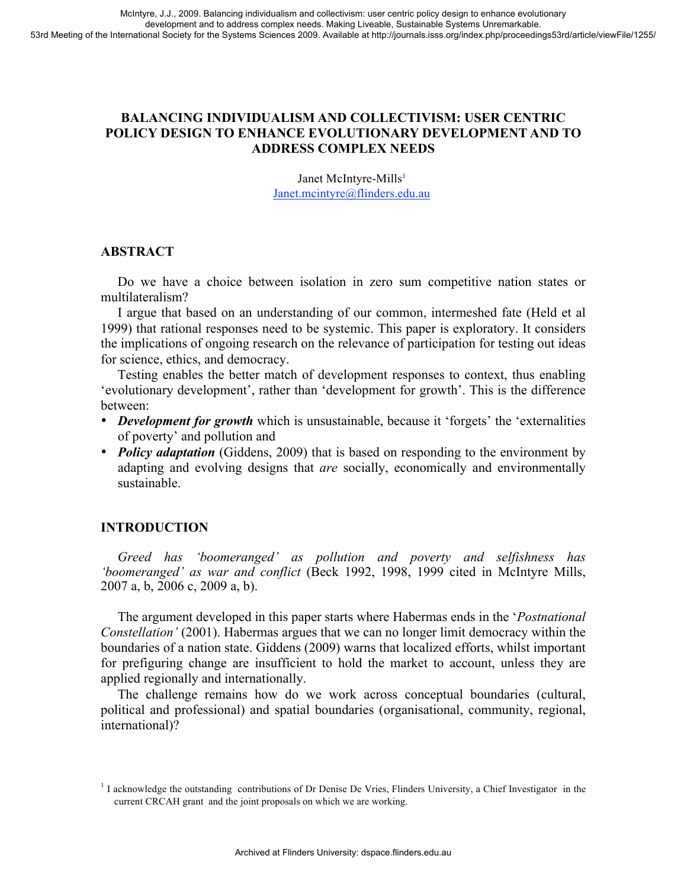## **BALANCING INDIVIDUALISM AND COLLECTIVISM: USER CENTRIC POLICY DESIGN TO ENHANCE EVOLUTIONARY DEVELOPMENT AND TO ADDRESS COMPLEX NEEDS**

Janet McIntyre-Mills<sup>1</sup> Janet.mcintyre@flinders.edu.au

### **ABSTRACT**

Do we have a choice between isolation in zero sum competitive nation states or multilateralism?

I argue that based on an understanding of our common, intermeshed fate (Held et al 1999) that rational responses need to be systemic. This paper is exploratory. It considers the implications of ongoing research on the relevance of participation for testing out ideas for science, ethics, and democracy.

Testing enables the better match of development responses to context, thus enabling 'evolutionary development', rather than 'development for growth'. This is the difference between:

- *Development for growth* which is unsustainable, because it 'forgets' the 'externalities of poverty' and pollution and
- *Policy adaptation* (Giddens, 2009) that is based on responding to the environment by adapting and evolving designs that *are* socially, economically and environmentally sustainable.

## **INTRODUCTION**

*Greed has 'boomeranged' as pollution and poverty and selfishness has 'boomeranged' as war and conflict* (Beck 1992, 1998, 1999 cited in McIntyre Mills, 2007 a, b, 2006 c, 2009 a, b).

The argument developed in this paper starts where Habermas ends in the '*Postnational Constellation'* (2001). Habermas argues that we can no longer limit democracy within the boundaries of a nation state. Giddens (2009) warns that localized efforts, whilst important for prefiguring change are insufficient to hold the market to account, unless they are applied regionally and internationally. Method at Flix 2009. Balance into distribute and one-dule at Societies and one-dule at Flinders University: denoted at Flinders University:  $\frac{1}{2}$  MCINE CRIP (NDIVIDUAL AT NSN AND COLL ECTIVISM: USER CENTRIC HERE THE T

The challenge remains how do we work across conceptual boundaries (cultural, political and professional) and spatial boundaries (organisational, community, regional, international)?

<sup>&</sup>lt;sup>1</sup> I acknowledge the outstanding contributions of Dr Denise De Vries, Flinders University, a Chief Investigator in the current CRCAH grant and the joint proposals on which we are working.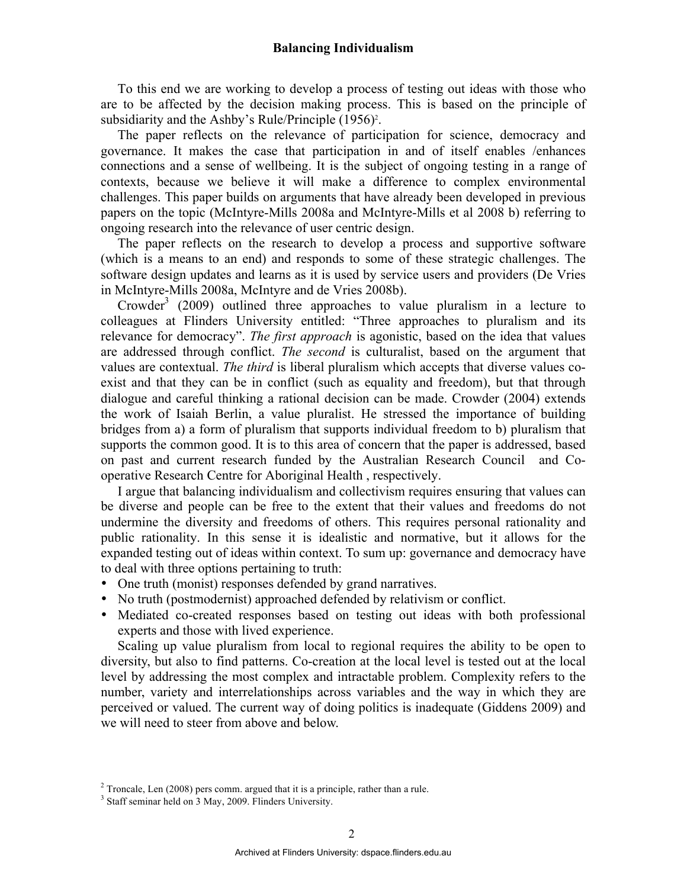To this end we are working to develop a process of testing out ideas with those who are to be affected by the decision making process. This is based on the principle of subsidiarity and the Ashby's Rule/Principle  $(1956)^2$ .

The paper reflects on the relevance of participation for science, democracy and governance. It makes the case that participation in and of itself enables /enhances connections and a sense of wellbeing. It is the subject of ongoing testing in a range of contexts, because we believe it will make a difference to complex environmental challenges. This paper builds on arguments that have already been developed in previous papers on the topic (McIntyre-Mills 2008a and McIntyre-Mills et al 2008 b) referring to ongoing research into the relevance of user centric design.

The paper reflects on the research to develop a process and supportive software (which is a means to an end) and responds to some of these strategic challenges. The software design updates and learns as it is used by service users and providers (De Vries in McIntyre-Mills 2008a, McIntyre and de Vries 2008b).

Crowder<sup>3</sup> (2009) outlined three approaches to value pluralism in a lecture to colleagues at Flinders University entitled: "Three approaches to pluralism and its relevance for democracy". *The first approach* is agonistic, based on the idea that values are addressed through conflict. *The second* is culturalist, based on the argument that values are contextual. *The third* is liberal pluralism which accepts that diverse values coexist and that they can be in conflict (such as equality and freedom), but that through dialogue and careful thinking a rational decision can be made. Crowder (2004) extends the work of Isaiah Berlin, a value pluralist. He stressed the importance of building bridges from a) a form of pluralism that supports individual freedom to b) pluralism that supports the common good. It is to this area of concern that the paper is addressed, based on past and current research funded by the Australian Research Council and Cooperative Research Centre for Aboriginal Health , respectively.

I argue that balancing individualism and collectivism requires ensuring that values can be diverse and people can be free to the extent that their values and freedoms do not undermine the diversity and freedoms of others. This requires personal rationality and public rationality. In this sense it is idealistic and normative, but it allows for the expanded testing out of ideas within context. To sum up: governance and democracy have to deal with three options pertaining to truth:

- One truth (monist) responses defended by grand narratives.
- No truth (postmodernist) approached defended by relativism or conflict.
- Mediated co-created responses based on testing out ideas with both professional experts and those with lived experience.

Scaling up value pluralism from local to regional requires the ability to be open to diversity, but also to find patterns. Co-creation at the local level is tested out at the local level by addressing the most complex and intractable problem. Complexity refers to the number, variety and interrelationships across variables and the way in which they are perceived or valued. The current way of doing politics is inadequate (Giddens 2009) and we will need to steer from above and below.

 $2$  Troncale, Len (2008) pers comm. argued that it is a principle, rather than a rule.

<sup>&</sup>lt;sup>3</sup> Staff seminar held on 3 May, 2009. Flinders University.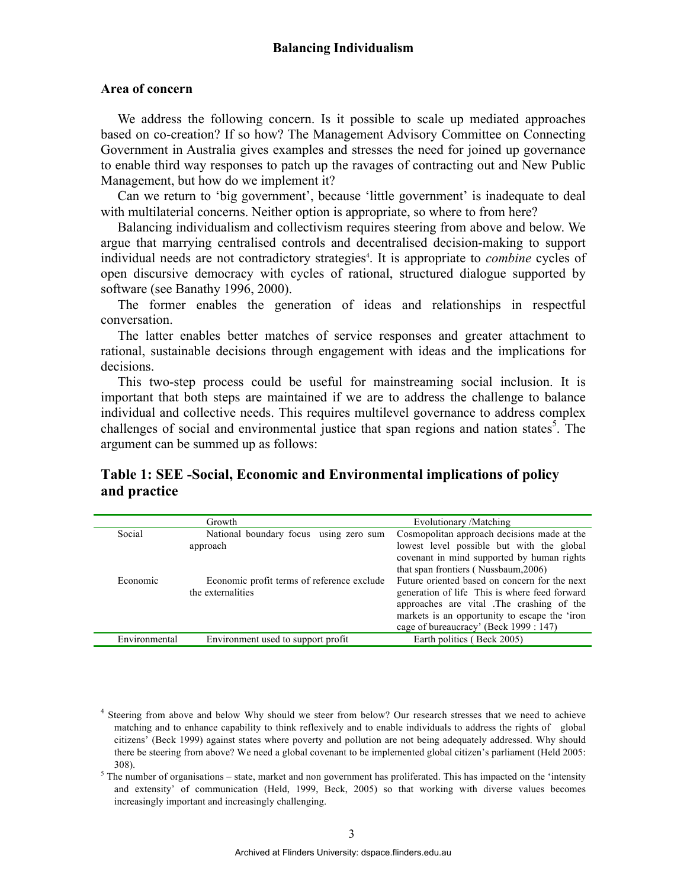### **Area of concern**

We address the following concern. Is it possible to scale up mediated approaches based on co-creation? If so how? The Management Advisory Committee on Connecting Government in Australia gives examples and stresses the need for joined up governance to enable third way responses to patch up the ravages of contracting out and New Public Management, but how do we implement it?

Can we return to 'big government', because 'little government' is inadequate to deal with multilaterial concerns. Neither option is appropriate, so where to from here?

Balancing individualism and collectivism requires steering from above and below. We argue that marrying centralised controls and decentralised decision-making to support individual needs are not contradictory strategies<sup>4</sup>. It is appropriate to *combine* cycles of open discursive democracy with cycles of rational, structured dialogue supported by software (see Banathy 1996, 2000).

The former enables the generation of ideas and relationships in respectful conversation.

The latter enables better matches of service responses and greater attachment to rational, sustainable decisions through engagement with ideas and the implications for decisions.

This two-step process could be useful for mainstreaming social inclusion. It is important that both steps are maintained if we are to address the challenge to balance individual and collective needs. This requires multilevel governance to address complex challenges of social and environmental justice that span regions and nation states<sup>5</sup>. The argument can be summed up as follows:

# **Table 1: SEE -Social, Economic and Environmental implications of policy and practice**

|               | Growth                                     | Evolutionary/Matching                         |
|---------------|--------------------------------------------|-----------------------------------------------|
| Social        | National boundary focus using zero sum     | Cosmopolitan approach decisions made at the   |
|               | approach                                   | lowest level possible but with the global     |
|               |                                            | covenant in mind supported by human rights    |
|               |                                            | that span frontiers (Nussbaum, 2006)          |
| Economic      | Economic profit terms of reference exclude | Future oriented based on concern for the next |
|               | the externalities                          | generation of life This is where feed forward |
|               |                                            | approaches are vital. The crashing of the     |
|               |                                            | markets is an opportunity to escape the 'iron |
|               |                                            | cage of bureaucracy' (Beck 1999: 147)         |
| Environmental | Environment used to support profit         | Earth politics (Beck 2005)                    |
|               |                                            |                                               |

<sup>4</sup> Steering from above and below Why should we steer from below? Our research stresses that we need to achieve matching and to enhance capability to think reflexively and to enable individuals to address the rights of global citizens' (Beck 1999) against states where poverty and pollution are not being adequately addressed. Why should there be steering from above? We need a global covenant to be implemented global citizen's parliament (Held 2005:

308).<br><sup>5</sup> The number of organisations – state, market and non government has proliferated. This has impacted on the 'intensity and extensity' of communication (Held, 1999, Beck, 2005) so that working with diverse values becomes increasingly important and increasingly challenging.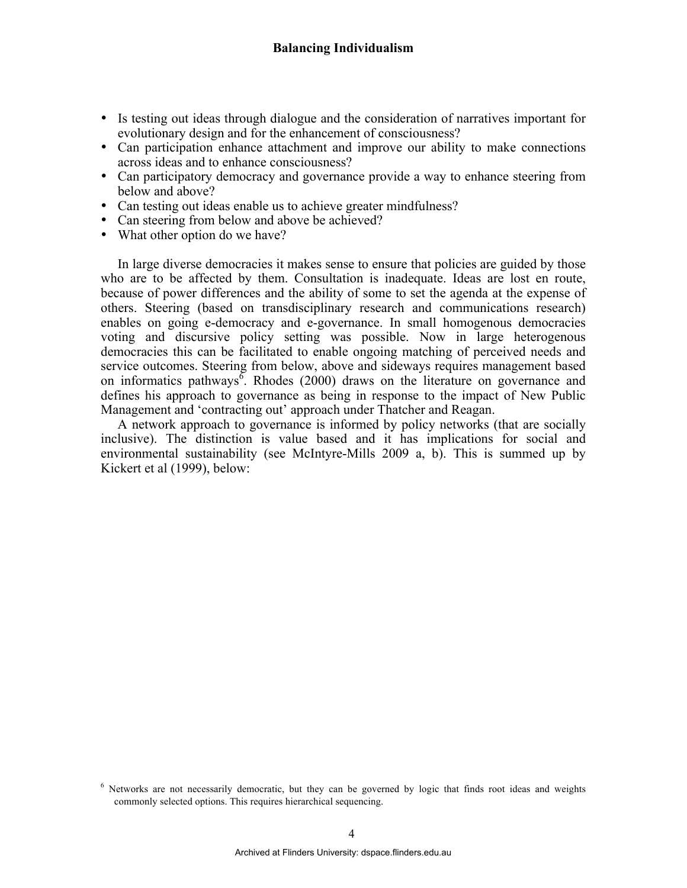- Is testing out ideas through dialogue and the consideration of narratives important for evolutionary design and for the enhancement of consciousness?
- Can participation enhance attachment and improve our ability to make connections across ideas and to enhance consciousness?
- Can participatory democracy and governance provide a way to enhance steering from below and above?
- Can testing out ideas enable us to achieve greater mindfulness?
- Can steering from below and above be achieved?
- What other option do we have?

In large diverse democracies it makes sense to ensure that policies are guided by those who are to be affected by them. Consultation is inadequate. Ideas are lost en route, because of power differences and the ability of some to set the agenda at the expense of others. Steering (based on transdisciplinary research and communications research) enables on going e-democracy and e-governance. In small homogenous democracies voting and discursive policy setting was possible. Now in large heterogenous democracies this can be facilitated to enable ongoing matching of perceived needs and service outcomes. Steering from below, above and sideways requires management based on informatics pathways<sup>6</sup>. Rhodes (2000) draws on the literature on governance and defines his approach to governance as being in response to the impact of New Public Management and 'contracting out' approach under Thatcher and Reagan.

A network approach to governance is informed by policy networks (that are socially inclusive). The distinction is value based and it has implications for social and environmental sustainability (see McIntyre-Mills 2009 a, b). This is summed up by Kickert et al (1999), below:

<sup>&</sup>lt;sup>6</sup> Networks are not necessarily democratic, but they can be governed by logic that finds root ideas and weights commonly selected options. This requires hierarchical sequencing.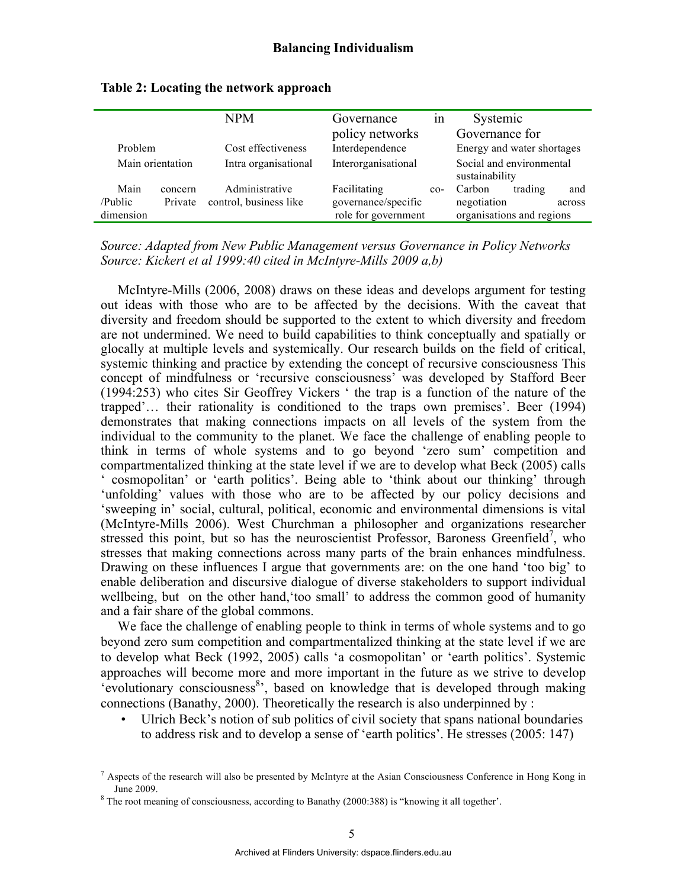|           |                  | <b>NPM</b>             | Governance          | 1n    | Systemic                                   |         |        |
|-----------|------------------|------------------------|---------------------|-------|--------------------------------------------|---------|--------|
|           |                  |                        | policy networks     |       | Governance for                             |         |        |
| Problem   |                  | Cost effectiveness     | Interdependence     |       | Energy and water shortages                 |         |        |
|           | Main orientation | Intra organisational   | Interorganisational |       | Social and environmental<br>sustainability |         |        |
| Main      | concern          | Administrative         | Facilitating        | $co-$ | Carbon                                     | trading | and    |
| /Public   | Private          | control, business like | governance/specific |       | negotiation                                |         | across |
| dimension |                  |                        | role for government |       | organisations and regions                  |         |        |

#### **Table 2: Locating the network approach**

*Source: Adapted from New Public Management versus Governance in Policy Networks Source: Kickert et al 1999:40 cited in McIntyre-Mills 2009 a,b)* 

McIntyre-Mills (2006, 2008) draws on these ideas and develops argument for testing out ideas with those who are to be affected by the decisions. With the caveat that diversity and freedom should be supported to the extent to which diversity and freedom are not undermined. We need to build capabilities to think conceptually and spatially or glocally at multiple levels and systemically. Our research builds on the field of critical, systemic thinking and practice by extending the concept of recursive consciousness This concept of mindfulness or 'recursive consciousness' was developed by Stafford Beer (1994:253) who cites Sir Geoffrey Vickers ' the trap is a function of the nature of the trapped'… their rationality is conditioned to the traps own premises'. Beer (1994) demonstrates that making connections impacts on all levels of the system from the individual to the community to the planet. We face the challenge of enabling people to think in terms of whole systems and to go beyond 'zero sum' competition and compartmentalized thinking at the state level if we are to develop what Beck (2005) calls ' cosmopolitan' or 'earth politics'. Being able to 'think about our thinking' through 'unfolding' values with those who are to be affected by our policy decisions and 'sweeping in' social, cultural, political, economic and environmental dimensions is vital (McIntyre-Mills 2006). West Churchman a philosopher and organizations researcher stressed this point, but so has the neuroscientist Professor, Baroness Greenfield<sup>7</sup>, who stresses that making connections across many parts of the brain enhances mindfulness. Drawing on these influences I argue that governments are: on the one hand 'too big' to enable deliberation and discursive dialogue of diverse stakeholders to support individual wellbeing, but on the other hand,'too small' to address the common good of humanity and a fair share of the global commons.

We face the challenge of enabling people to think in terms of whole systems and to go beyond zero sum competition and compartmentalized thinking at the state level if we are to develop what Beck (1992, 2005) calls 'a cosmopolitan' or 'earth politics'. Systemic approaches will become more and more important in the future as we strive to develop 'evolutionary consciousness<sup>8</sup>', based on knowledge that is developed through making connections (Banathy, 2000). Theoretically the research is also underpinned by :

• Ulrich Beck's notion of sub politics of civil society that spans national boundaries to address risk and to develop a sense of 'earth politics'. He stresses (2005: 147)

 $<sup>7</sup>$  Aspects of the research will also be presented by McIntyre at the Asian Consciousness Conference in Hong Kong in</sup> June 2009. 8 The root meaning of consciousness, according to Banathy (2000:388) is "knowing it all together'.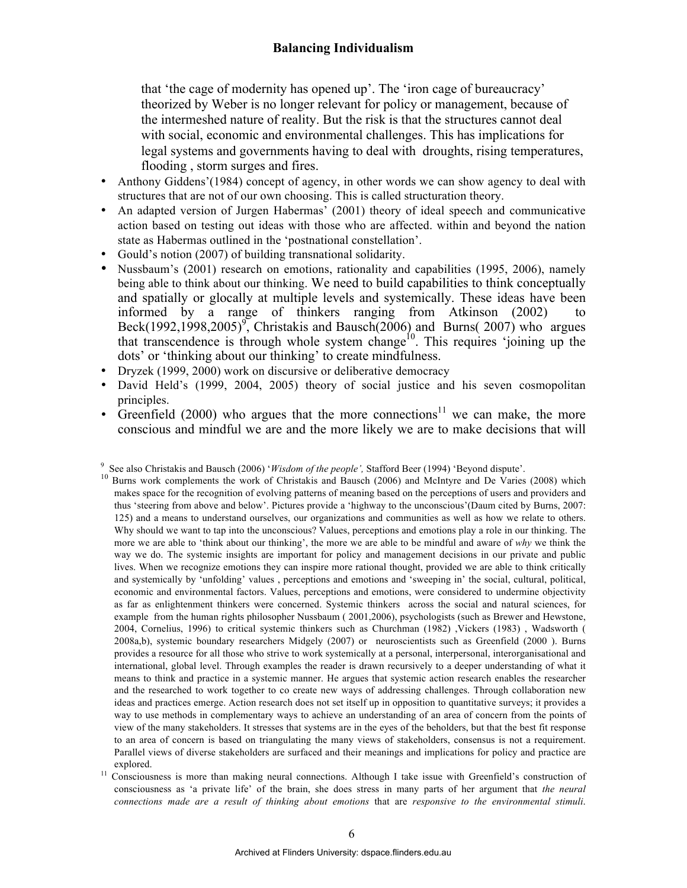that 'the cage of modernity has opened up'. The 'iron cage of bureaucracy' theorized by Weber is no longer relevant for policy or management, because of the intermeshed nature of reality. But the risk is that the structures cannot deal with social, economic and environmental challenges. This has implications for legal systems and governments having to deal with droughts, rising temperatures, flooding , storm surges and fires.

- Anthony Giddens'(1984) concept of agency, in other words we can show agency to deal with structures that are not of our own choosing. This is called structuration theory.
- An adapted version of Jurgen Habermas' (2001) theory of ideal speech and communicative action based on testing out ideas with those who are affected. within and beyond the nation state as Habermas outlined in the 'postnational constellation'.
- Gould's notion (2007) of building transnational solidarity.
- Nussbaum's (2001) research on emotions, rationality and capabilities (1995, 2006), namely being able to think about our thinking. We need to build capabilities to think conceptually and spatially or glocally at multiple levels and systemically. These ideas have been informed by a range of thinkers ranging from Atkinson (2002) to Beck(1992,1998,2005)<sup>9</sup>, Christakis and Bausch(2006) and Burns(2007) who argues that transcendence is through whole system change<sup>10</sup>. This requires 'joining up the dots' or 'thinking about our thinking' to create mindfulness.
- Dryzek (1999, 2000) work on discursive or deliberative democracy
- David Held's (1999, 2004, 2005) theory of social justice and his seven cosmopolitan principles.
- Greenfield (2000) who argues that the more connections<sup>11</sup> we can make, the more conscious and mindful we are and the more likely we are to make decisions that will

explored.  $11$  Consciousness is more than making neural connections. Although I take issue with Greenfield's construction of consciousness as 'a private life' of the brain, she does stress in many parts of her argument that *the neural connections made are a result of thinking about emotions* that are *responsive to the environmental stimuli*.

<sup>&</sup>lt;sup>9</sup> See also Christakis and Bausch (2006) 'Wisdom of the people', Stafford Beer (1994) 'Beyond dispute'.

<sup>&</sup>lt;sup>10</sup> Burns work complements the work of Christakis and Bausch (2006) and McIntyre and De Varies (2008) which makes space for the recognition of evolving patterns of meaning based on the perceptions of users and providers and thus 'steering from above and below'. Pictures provide a 'highway to the unconscious'(Daum cited by Burns, 2007: 125) and a means to understand ourselves, our organizations and communities as well as how we relate to others. Why should we want to tap into the unconscious? Values, perceptions and emotions play a role in our thinking. The more we are able to 'think about our thinking', the more we are able to be mindful and aware of *why* we think the way we do. The systemic insights are important for policy and management decisions in our private and public lives. When we recognize emotions they can inspire more rational thought, provided we are able to think critically and systemically by 'unfolding' values , perceptions and emotions and 'sweeping in' the social, cultural, political, economic and environmental factors. Values, perceptions and emotions, were considered to undermine objectivity as far as enlightenment thinkers were concerned. Systemic thinkers across the social and natural sciences, for example from the human rights philosopher Nussbaum ( 2001,2006), psychologists (such as Brewer and Hewstone, 2004, Cornelius, 1996) to critical systemic thinkers such as Churchman (1982) ,Vickers (1983) , Wadsworth ( 2008a,b), systemic boundary researchers Midgely (2007) or neuroscientists such as Greenfield (2000 ). Burns provides a resource for all those who strive to work systemically at a personal, interpersonal, interorganisational and international, global level. Through examples the reader is drawn recursively to a deeper understanding of what it means to think and practice in a systemic manner. He argues that systemic action research enables the researcher and the researched to work together to co create new ways of addressing challenges. Through collaboration new ideas and practices emerge. Action research does not set itself up in opposition to quantitative surveys; it provides a way to use methods in complementary ways to achieve an understanding of an area of concern from the points of view of the many stakeholders. It stresses that systems are in the eyes of the beholders, but that the best fit response to an area of concern is based on triangulating the many views of stakeholders, consensus is not a requirement. Parallel views of diverse stakeholders are surfaced and their meanings and implications for policy and practice are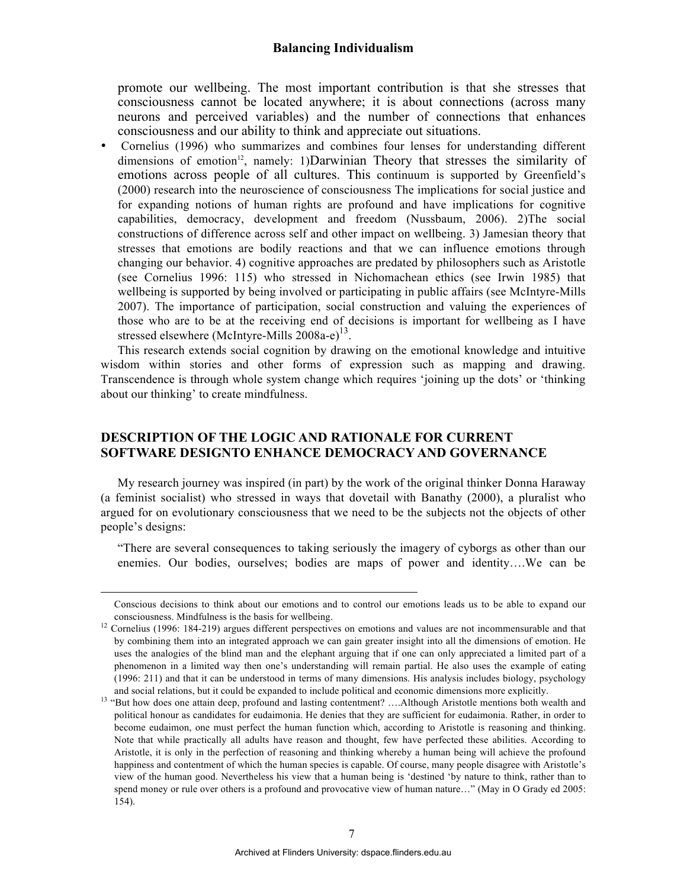promote our wellbeing. The most important contribution is that she stresses that consciousness cannot be located anywhere; it is about connections (across many neurons and perceived variables) and the number of connections that enhances consciousness and our ability to think and appreciate out situations.

• Cornelius (1996) who summarizes and combines four lenses for understanding different dimensions of emotion<sup>12</sup>, namely: 1)Darwinian Theory that stresses the similarity of emotions across people of all cultures. This continuum is supported by Greenfield's (2000) research into the neuroscience of consciousness The implications for social justice and for expanding notions of human rights are profound and have implications for cognitive capabilities, democracy, development and freedom (Nussbaum, 2006). 2)The social constructions of difference across self and other impact on wellbeing. 3) Jamesian theory that stresses that emotions are bodily reactions and that we can influence emotions through changing our behavior. 4) cognitive approaches are predated by philosophers such as Aristotle (see Cornelius 1996: 115) who stressed in Nichomachean ethics (see Irwin 1985) that wellbeing is supported by being involved or participating in public affairs (see McIntyre-Mills 2007). The importance of participation, social construction and valuing the experiences of those who are to be at the receiving end of decisions is important for wellbeing as I have stressed elsewhere (McIntyre-Mills  $2008a-e$ )<sup>13</sup>.

This research extends social cognition by drawing on the emotional knowledge and intuitive wisdom within stories and other forms of expression such as mapping and drawing. Transcendence is through whole system change which requires 'joining up the dots' or 'thinking about our thinking' to create mindfulness.

### **DESCRIPTION OF THE LOGIC AND RATIONALE FOR CURRENT SOFTWARE DESIGNTO ENHANCE DEMOCRACY AND GOVERNANCE**

My research journey was inspired (in part) by the work of the original thinker Donna Haraway (a feminist socialist) who stressed in ways that dovetail with Banathy (2000), a pluralist who argued for on evolutionary consciousness that we need to be the subjects not the objects of other people's designs:

"There are several consequences to taking seriously the imagery of cyborgs as other than our enemies. Our bodies, ourselves; bodies are maps of power and identity….We can be

-

Conscious decisions to think about our emotions and to control our emotions leads us to be able to expand our

consciousness. Mindfulness is the basis for wellbeing. 12 Cornelius (1996: 184-219) argues different perspectives on emotions and values are not incommensurable and that by combining them into an integrated approach we can gain greater insight into all the dimensions of emotion. He uses the analogies of the blind man and the elephant arguing that if one can only appreciated a limited part of a phenomenon in a limited way then one's understanding will remain partial. He also uses the example of eating (1996: 211) and that it can be understood in terms of many dimensions. His analysis includes biology, psychology

and social relations, but it could be expanded to include political and economic dimensions more explicitly.<br><sup>13</sup> "But how does one attain deep, profound and lasting contentment? ....Although Aristotle mentions both wealth political honour as candidates for eudaimonia. He denies that they are sufficient for eudaimonia. Rather, in order to become eudaimon, one must perfect the human function which, according to Aristotle is reasoning and thinking. Note that while practically all adults have reason and thought, few have perfected these abilities. According to Aristotle, it is only in the perfection of reasoning and thinking whereby a human being will achieve the profound happiness and contentment of which the human species is capable. Of course, many people disagree with Aristotle's view of the human good. Nevertheless his view that a human being is 'destined 'by nature to think, rather than to spend money or rule over others is a profound and provocative view of human nature..." (May in O Grady ed 2005: 154).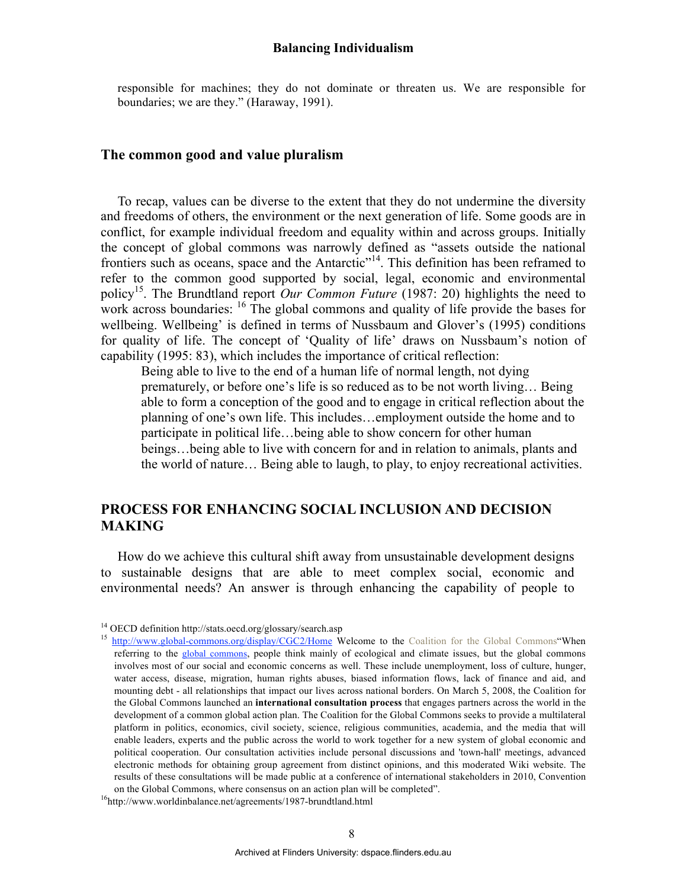responsible for machines; they do not dominate or threaten us. We are responsible for boundaries; we are they." (Haraway, 1991).

### **The common good and value pluralism**

To recap, values can be diverse to the extent that they do not undermine the diversity and freedoms of others, the environment or the next generation of life. Some goods are in conflict, for example individual freedom and equality within and across groups. Initially the concept of global commons was narrowly defined as "assets outside the national frontiers such as oceans, space and the Antarctic<sup> $14$ </sup>. This definition has been reframed to refer to the common good supported by social, legal, economic and environmental policy15. The Brundtland report *Our Common Future* (1987: 20) highlights the need to work across boundaries: <sup>16</sup> The global commons and quality of life provide the bases for wellbeing. Wellbeing' is defined in terms of Nussbaum and Glover's (1995) conditions for quality of life. The concept of 'Quality of life' draws on Nussbaum's notion of capability (1995: 83), which includes the importance of critical reflection:

Being able to live to the end of a human life of normal length, not dying prematurely, or before one's life is so reduced as to be not worth living… Being able to form a conception of the good and to engage in critical reflection about the planning of one's own life. This includes…employment outside the home and to participate in political life…being able to show concern for other human beings…being able to live with concern for and in relation to animals, plants and the world of nature… Being able to laugh, to play, to enjoy recreational activities.

# **PROCESS FOR ENHANCING SOCIAL INCLUSION AND DECISION MAKING**

How do we achieve this cultural shift away from unsustainable development designs to sustainable designs that are able to meet complex social, economic and environmental needs? An answer is through enhancing the capability of people to

<sup>14</sup> OECD definition http://stats.oecd.org/glossary/search.asp

<sup>&</sup>lt;sup>15</sup> http://www.global-commons.org/display/CGC2/Home Welcome to the Coalition for the Global Commons"When referring to the global commons, people think mainly of ecological and climate issues, but the global commons involves most of our social and economic concerns as well. These include unemployment, loss of culture, hunger, water access, disease, migration, human rights abuses, biased information flows, lack of finance and aid, and mounting debt - all relationships that impact our lives across national borders. On March 5, 2008, the Coalition for the Global Commons launched an **international consultation process** that engages partners across the world in the development of a common global action plan. The Coalition for the Global Commons seeks to provide a multilateral platform in politics, economics, civil society, science, religious communities, academia, and the media that will enable leaders, experts and the public across the world to work together for a new system of global economic and political cooperation. Our consultation activities include personal discussions and 'town-hall' meetings, advanced electronic methods for obtaining group agreement from distinct opinions, and this moderated Wiki website. The results of these consultations will be made public at a conference of international stakeholders in 2010, Convention on the Global Commons, where consensus on an action plan will be completed".  $^{16}$ http://www.worldinbalance.net/agreements/1987-brundtland.html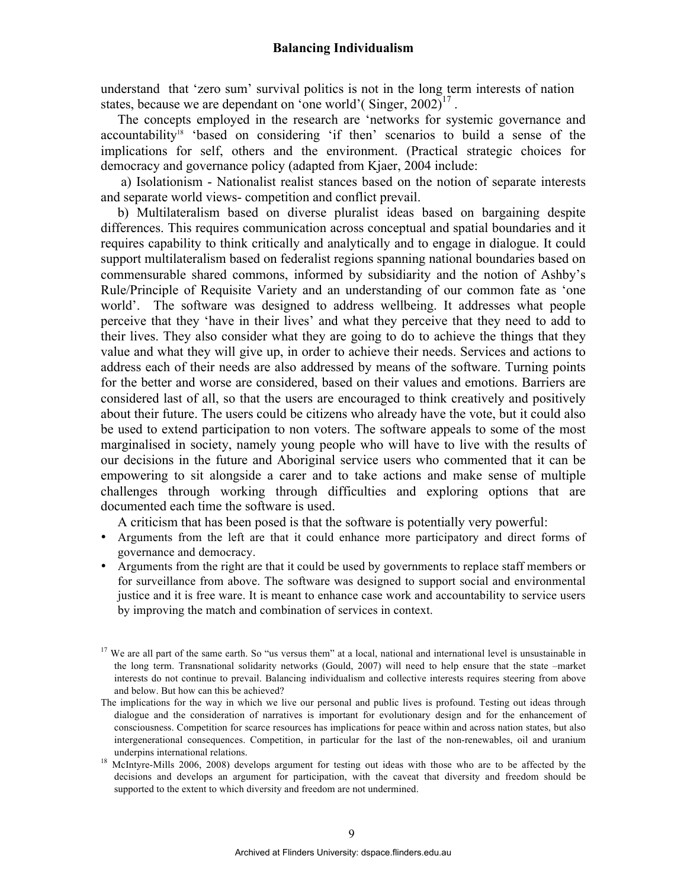understand that 'zero sum' survival politics is not in the long term interests of nation states, because we are dependant on 'one world' (Singer,  $2002$ )<sup>17</sup>.

The concepts employed in the research are 'networks for systemic governance and accountability<sup>18</sup> 'based on considering 'if then' scenarios to build a sense of the implications for self, others and the environment. (Practical strategic choices for democracy and governance policy (adapted from Kjaer, 2004 include:

 a) Isolationism - Nationalist realist stances based on the notion of separate interests and separate world views- competition and conflict prevail.

b) Multilateralism based on diverse pluralist ideas based on bargaining despite differences. This requires communication across conceptual and spatial boundaries and it requires capability to think critically and analytically and to engage in dialogue. It could support multilateralism based on federalist regions spanning national boundaries based on commensurable shared commons, informed by subsidiarity and the notion of Ashby's Rule/Principle of Requisite Variety and an understanding of our common fate as 'one world'. The software was designed to address wellbeing. It addresses what people perceive that they 'have in their lives' and what they perceive that they need to add to their lives. They also consider what they are going to do to achieve the things that they value and what they will give up, in order to achieve their needs. Services and actions to address each of their needs are also addressed by means of the software. Turning points for the better and worse are considered, based on their values and emotions. Barriers are considered last of all, so that the users are encouraged to think creatively and positively about their future. The users could be citizens who already have the vote, but it could also be used to extend participation to non voters. The software appeals to some of the most marginalised in society, namely young people who will have to live with the results of our decisions in the future and Aboriginal service users who commented that it can be empowering to sit alongside a carer and to take actions and make sense of multiple challenges through working through difficulties and exploring options that are documented each time the software is used.

A criticism that has been posed is that the software is potentially very powerful:

- Arguments from the left are that it could enhance more participatory and direct forms of governance and democracy.
- Arguments from the right are that it could be used by governments to replace staff members or for surveillance from above. The software was designed to support social and environmental justice and it is free ware. It is meant to enhance case work and accountability to service users by improving the match and combination of services in context.

<sup>&</sup>lt;sup>17</sup> We are all part of the same earth. So "us versus them" at a local, national and international level is unsustainable in the long term. Transnational solidarity networks (Gould, 2007) will need to help ensure that the state –market interests do not continue to prevail. Balancing individualism and collective interests requires steering from above and below. But how can this be achieved?

The implications for the way in which we live our personal and public lives is profound. Testing out ideas through dialogue and the consideration of narratives is important for evolutionary design and for the enhancement of consciousness. Competition for scarce resources has implications for peace within and across nation states, but also intergenerational consequences. Competition, in particular for the last of the non-renewables, oil and uranium underpins international relations. 18 McIntyre-Mills 2006, 2008) develops argument for testing out ideas with those who are to be affected by the

decisions and develops an argument for participation, with the caveat that diversity and freedom should be supported to the extent to which diversity and freedom are not undermined.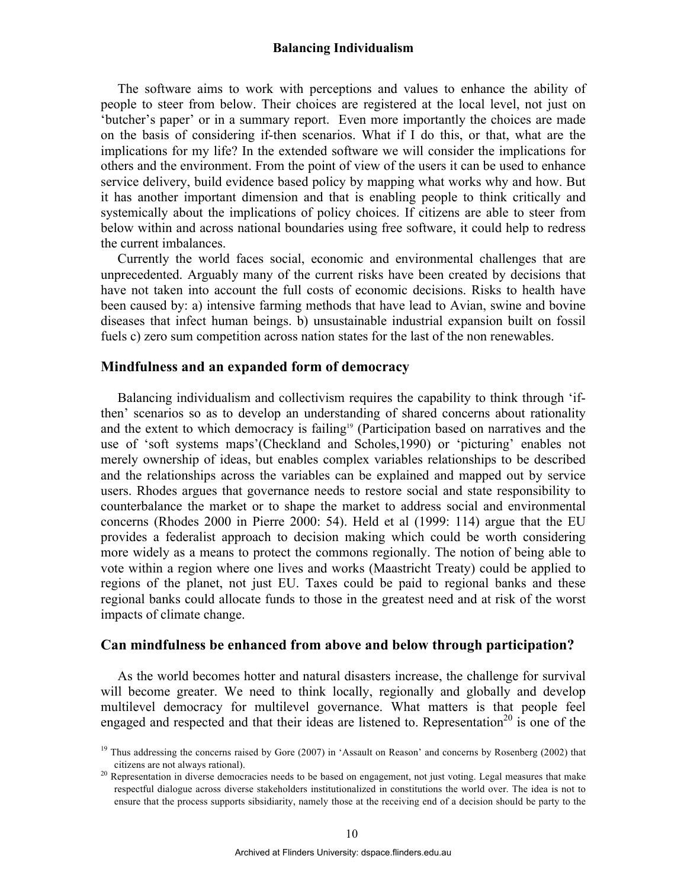The software aims to work with perceptions and values to enhance the ability of people to steer from below. Their choices are registered at the local level, not just on 'butcher's paper' or in a summary report. Even more importantly the choices are made on the basis of considering if-then scenarios. What if I do this, or that, what are the implications for my life? In the extended software we will consider the implications for others and the environment. From the point of view of the users it can be used to enhance service delivery, build evidence based policy by mapping what works why and how. But it has another important dimension and that is enabling people to think critically and systemically about the implications of policy choices. If citizens are able to steer from below within and across national boundaries using free software, it could help to redress the current imbalances.

Currently the world faces social, economic and environmental challenges that are unprecedented. Arguably many of the current risks have been created by decisions that have not taken into account the full costs of economic decisions. Risks to health have been caused by: a) intensive farming methods that have lead to Avian, swine and bovine diseases that infect human beings. b) unsustainable industrial expansion built on fossil fuels c) zero sum competition across nation states for the last of the non renewables.

#### **Mindfulness and an expanded form of democracy**

Balancing individualism and collectivism requires the capability to think through 'ifthen' scenarios so as to develop an understanding of shared concerns about rationality and the extent to which democracy is failing<sup>19</sup> (Participation based on narratives and the use of 'soft systems maps'(Checkland and Scholes,1990) or 'picturing' enables not merely ownership of ideas, but enables complex variables relationships to be described and the relationships across the variables can be explained and mapped out by service users. Rhodes argues that governance needs to restore social and state responsibility to counterbalance the market or to shape the market to address social and environmental concerns (Rhodes 2000 in Pierre 2000: 54). Held et al (1999: 114) argue that the EU provides a federalist approach to decision making which could be worth considering more widely as a means to protect the commons regionally. The notion of being able to vote within a region where one lives and works (Maastricht Treaty) could be applied to regions of the planet, not just EU. Taxes could be paid to regional banks and these regional banks could allocate funds to those in the greatest need and at risk of the worst impacts of climate change.

#### **Can mindfulness be enhanced from above and below through participation?**

As the world becomes hotter and natural disasters increase, the challenge for survival will become greater. We need to think locally, regionally and globally and develop multilevel democracy for multilevel governance. What matters is that people feel engaged and respected and that their ideas are listened to. Representation<sup>20</sup> is one of the

<sup>&</sup>lt;sup>19</sup> Thus addressing the concerns raised by Gore (2007) in 'Assault on Reason' and concerns by Rosenberg (2002) that citizens are not always rational). 20 Representation in diverse democracies needs to be based on engagement, not just voting. Legal measures that make

respectful dialogue across diverse stakeholders institutionalized in constitutions the world over. The idea is not to ensure that the process supports sibsidiarity, namely those at the receiving end of a decision should be party to the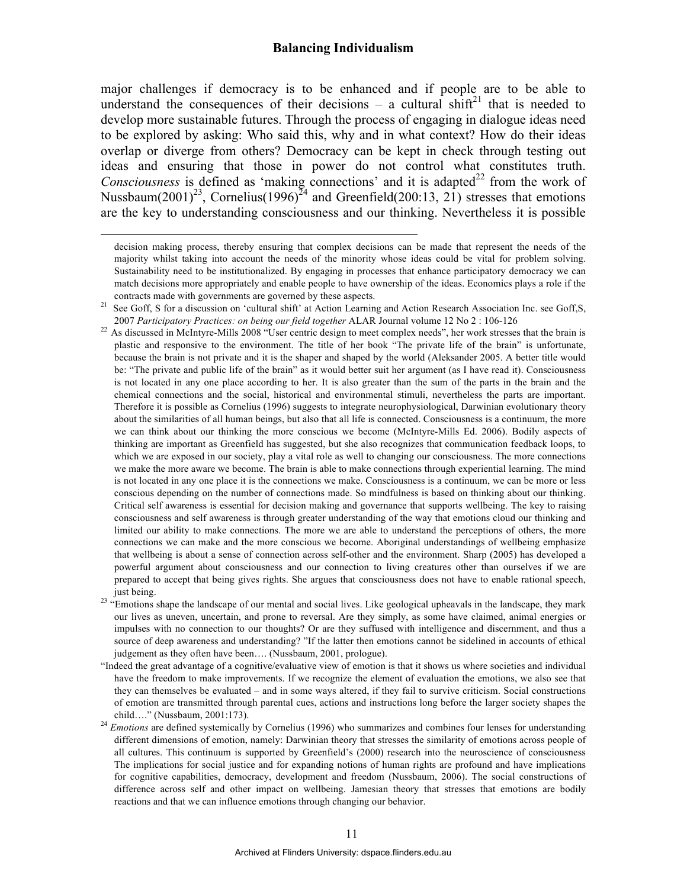major challenges if democracy is to be enhanced and if people are to be able to understand the consequences of their decisions – a cultural shift<sup>21</sup> that is needed to develop more sustainable futures. Through the process of engaging in dialogue ideas need to be explored by asking: Who said this, why and in what context? How do their ideas overlap or diverge from others? Democracy can be kept in check through testing out ideas and ensuring that those in power do not control what constitutes truth. *Consciousness* is defined as 'making connections' and it is adapted<sup>22</sup> from the work of Nussbaum(2001)<sup>23</sup>, Cornelius(1996)<sup>24</sup> and Greenfield(200:13, 21) stresses that emotions are the key to understanding consciousness and our thinking. Nevertheless it is possible

<u>.</u>

decision making process, thereby ensuring that complex decisions can be made that represent the needs of the majority whilst taking into account the needs of the minority whose ideas could be vital for problem solving. Sustainability need to be institutionalized. By engaging in processes that enhance participatory democracy we can match decisions more appropriately and enable people to have ownership of the ideas. Economics plays a role if the contracts made with governments are governed by these aspects.<br><sup>21</sup> See Goff, S for a discussion on 'cultural shift' at Action Learning and Action Research Association Inc. see Goff,S,

<sup>2007</sup> *Participatory Practices: on being our field together* ALAR Journal volume 12 No 2 : 106-126

<sup>&</sup>lt;sup>22</sup> As discussed in McIntyre-Mills 2008 "User centric design to meet complex needs", her work stresses that the brain is plastic and responsive to the environment. The title of her book "The private life of the brain" is unfortunate, because the brain is not private and it is the shaper and shaped by the world (Aleksander 2005. A better title would be: "The private and public life of the brain" as it would better suit her argument (as I have read it). Consciousness is not located in any one place according to her. It is also greater than the sum of the parts in the brain and the chemical connections and the social, historical and environmental stimuli, nevertheless the parts are important. Therefore it is possible as Cornelius (1996) suggests to integrate neurophysiological, Darwinian evolutionary theory about the similarities of all human beings, but also that all life is connected. Consciousness is a continuum, the more we can think about our thinking the more conscious we become (McIntyre-Mills Ed. 2006). Bodily aspects of thinking are important as Greenfield has suggested, but she also recognizes that communication feedback loops, to which we are exposed in our society, play a vital role as well to changing our consciousness. The more connections we make the more aware we become. The brain is able to make connections through experiential learning. The mind is not located in any one place it is the connections we make. Consciousness is a continuum, we can be more or less conscious depending on the number of connections made. So mindfulness is based on thinking about our thinking. Critical self awareness is essential for decision making and governance that supports wellbeing. The key to raising consciousness and self awareness is through greater understanding of the way that emotions cloud our thinking and limited our ability to make connections. The more we are able to understand the perceptions of others, the more connections we can make and the more conscious we become. Aboriginal understandings of wellbeing emphasize that wellbeing is about a sense of connection across self-other and the environment. Sharp (2005) has developed a powerful argument about consciousness and our connection to living creatures other than ourselves if we are prepared to accept that being gives rights. She argues that consciousness does not have to enable rational speech, just being. 23 "Emotions shape the landscape of our mental and social lives. Like geological upheavals in the landscape, they mark

our lives as uneven, uncertain, and prone to reversal. Are they simply, as some have claimed, animal energies or impulses with no connection to our thoughts? Or are they suffused with intelligence and discernment, and thus a source of deep awareness and understanding? "If the latter then emotions cannot be sidelined in accounts of ethical judgement as they often have been…. (Nussbaum, 2001, prologue).

<sup>&</sup>quot;Indeed the great advantage of a cognitive/evaluative view of emotion is that it shows us where societies and individual have the freedom to make improvements. If we recognize the element of evaluation the emotions, we also see that they can themselves be evaluated – and in some ways altered, if they fail to survive criticism. Social constructions of emotion are transmitted through parental cues, actions and instructions long before the larger society shapes the child…." (Nussbaum, 2001:173). 24 *Emotions* are defined systemically by Cornelius (1996) who summarizes and combines four lenses for understanding

different dimensions of emotion, namely: Darwinian theory that stresses the similarity of emotions across people of all cultures. This continuum is supported by Greenfield's (2000) research into the neuroscience of consciousness The implications for social justice and for expanding notions of human rights are profound and have implications for cognitive capabilities, democracy, development and freedom (Nussbaum, 2006). The social constructions of difference across self and other impact on wellbeing. Jamesian theory that stresses that emotions are bodily reactions and that we can influence emotions through changing our behavior.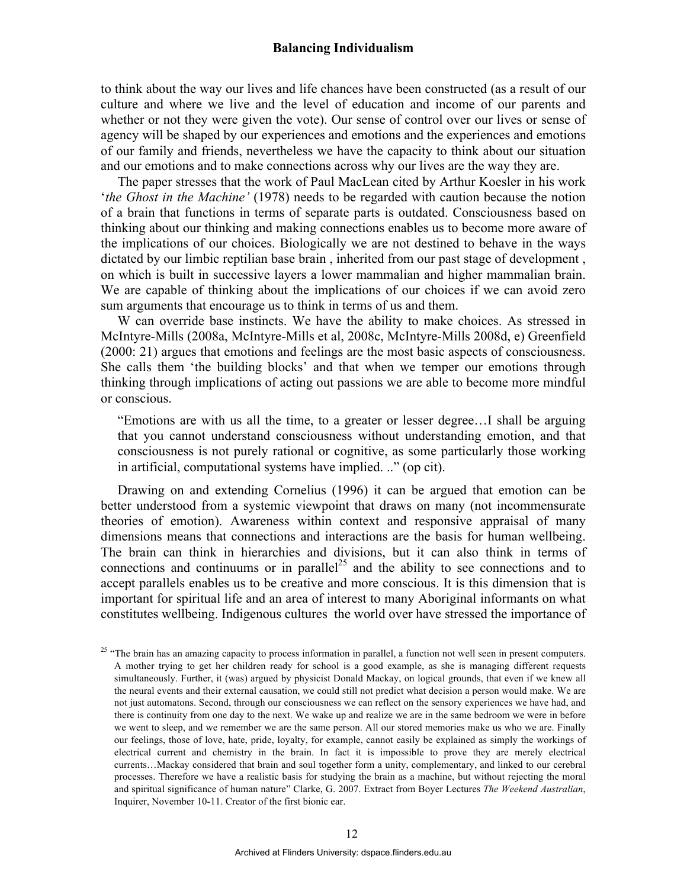to think about the way our lives and life chances have been constructed (as a result of our culture and where we live and the level of education and income of our parents and whether or not they were given the vote). Our sense of control over our lives or sense of agency will be shaped by our experiences and emotions and the experiences and emotions of our family and friends, nevertheless we have the capacity to think about our situation and our emotions and to make connections across why our lives are the way they are.

The paper stresses that the work of Paul MacLean cited by Arthur Koesler in his work '*the Ghost in the Machine'* (1978) needs to be regarded with caution because the notion of a brain that functions in terms of separate parts is outdated. Consciousness based on thinking about our thinking and making connections enables us to become more aware of the implications of our choices. Biologically we are not destined to behave in the ways dictated by our limbic reptilian base brain , inherited from our past stage of development , on which is built in successive layers a lower mammalian and higher mammalian brain. We are capable of thinking about the implications of our choices if we can avoid zero sum arguments that encourage us to think in terms of us and them.

W can override base instincts. We have the ability to make choices. As stressed in McIntyre-Mills (2008a, McIntyre-Mills et al, 2008c, McIntyre-Mills 2008d, e) Greenfield (2000: 21) argues that emotions and feelings are the most basic aspects of consciousness. She calls them 'the building blocks' and that when we temper our emotions through thinking through implications of acting out passions we are able to become more mindful or conscious.

"Emotions are with us all the time, to a greater or lesser degree…I shall be arguing that you cannot understand consciousness without understanding emotion, and that consciousness is not purely rational or cognitive, as some particularly those working in artificial, computational systems have implied. .." (op cit).

Drawing on and extending Cornelius (1996) it can be argued that emotion can be better understood from a systemic viewpoint that draws on many (not incommensurate theories of emotion). Awareness within context and responsive appraisal of many dimensions means that connections and interactions are the basis for human wellbeing. The brain can think in hierarchies and divisions, but it can also think in terms of connections and continuums or in parallel<sup>25</sup> and the ability to see connections and to accept parallels enables us to be creative and more conscious. It is this dimension that is important for spiritual life and an area of interest to many Aboriginal informants on what constitutes wellbeing. Indigenous cultures the world over have stressed the importance of

<sup>&</sup>lt;sup>25</sup> "The brain has an amazing capacity to process information in parallel, a function not well seen in present computers. A mother trying to get her children ready for school is a good example, as she is managing different requests simultaneously. Further, it (was) argued by physicist Donald Mackay, on logical grounds, that even if we knew all the neural events and their external causation, we could still not predict what decision a person would make. We are not just automatons. Second, through our consciousness we can reflect on the sensory experiences we have had, and there is continuity from one day to the next. We wake up and realize we are in the same bedroom we were in before we went to sleep, and we remember we are the same person. All our stored memories make us who we are. Finally our feelings, those of love, hate, pride, loyalty, for example, cannot easily be explained as simply the workings of electrical current and chemistry in the brain. In fact it is impossible to prove they are merely electrical currents…Mackay considered that brain and soul together form a unity, complementary, and linked to our cerebral processes. Therefore we have a realistic basis for studying the brain as a machine, but without rejecting the moral and spiritual significance of human nature" Clarke, G. 2007. Extract from Boyer Lectures *The Weekend Australian*, Inquirer, November 10-11. Creator of the first bionic ear.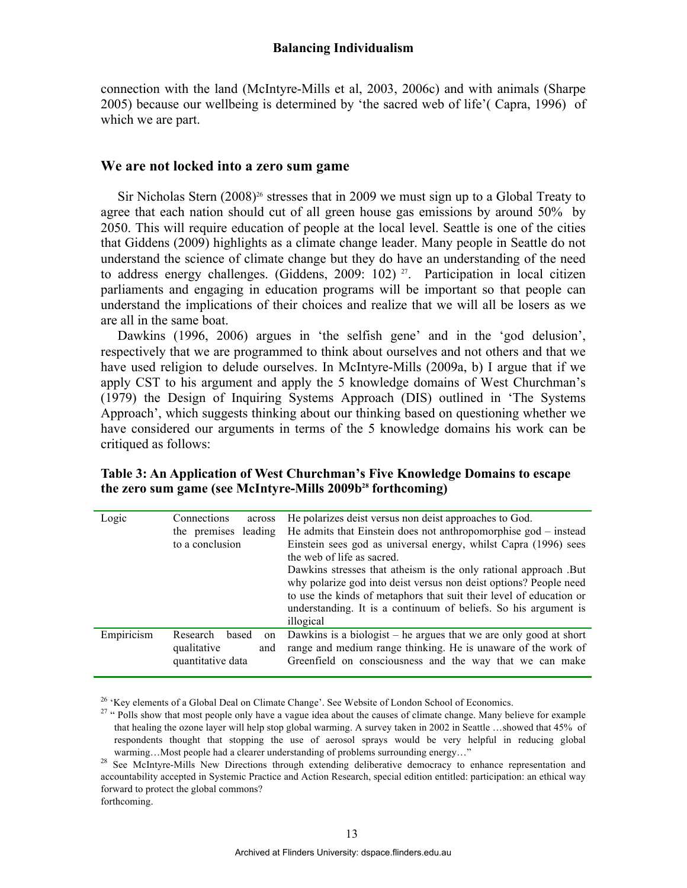connection with the land (McIntyre-Mills et al, 2003, 2006c) and with animals (Sharpe 2005) because our wellbeing is determined by 'the sacred web of life'( Capra, 1996) of which we are part.

### **We are not locked into a zero sum game**

Sir Nicholas Stern  $(2008)^{26}$  stresses that in 2009 we must sign up to a Global Treaty to agree that each nation should cut of all green house gas emissions by around 50% by 2050. This will require education of people at the local level. Seattle is one of the cities that Giddens (2009) highlights as a climate change leader. Many people in Seattle do not understand the science of climate change but they do have an understanding of the need to address energy challenges. (Giddens, 2009: 102)<sup>27</sup>. Participation in local citizen parliaments and engaging in education programs will be important so that people can understand the implications of their choices and realize that we will all be losers as we are all in the same boat.

Dawkins (1996, 2006) argues in 'the selfish gene' and in the 'god delusion', respectively that we are programmed to think about ourselves and not others and that we have used religion to delude ourselves. In McIntyre-Mills (2009a, b) I argue that if we apply CST to his argument and apply the 5 knowledge domains of West Churchman's (1979) the Design of Inquiring Systems Approach (DIS) outlined in 'The Systems Approach', which suggests thinking about our thinking based on questioning whether we have considered our arguments in terms of the 5 knowledge domains his work can be critiqued as follows:

### **Table 3: An Application of West Churchman's Five Knowledge Domains to escape the zero sum game (see McIntyre-Mills 2009b28 forthcoming)**

| Logic      | Connections<br>across<br>the premises leading<br>to a conclusion   | He polarizes deist versus non deist approaches to God.<br>He admits that Einstein does not anthropomorphise god – instead<br>Einstein sees god as universal energy, whilst Capra (1996) sees<br>the web of life as sacred.                                                                   |
|------------|--------------------------------------------------------------------|----------------------------------------------------------------------------------------------------------------------------------------------------------------------------------------------------------------------------------------------------------------------------------------------|
|            |                                                                    | Dawkins stresses that atheism is the only rational approach. But<br>why polarize god into deist versus non deist options? People need<br>to use the kinds of metaphors that suit their level of education or<br>understanding. It is a continuum of beliefs. So his argument is<br>illogical |
| Empiricism | Research<br>based<br>on<br>qualitative<br>and<br>quantitative data | Dawkins is a biologist – he argues that we are only good at short<br>range and medium range thinking. He is unaware of the work of<br>Greenfield on consciousness and the way that we can make                                                                                               |

<sup>&</sup>lt;sup>26</sup> 'Key elements of a Global Deal on Climate Change'. See Website of London School of Economics.

forthcoming.

<sup>&</sup>lt;sup>27</sup> " Polls show that most people only have a vague idea about the causes of climate change. Many believe for example that healing the ozone layer will help stop global warming. A survey taken in 2002 in Seattle …showed that 45% of respondents thought that stopping the use of aerosol sprays would be very helpful in reducing global warming…Most people had a clearer understanding of problems surrounding energy…"<br><sup>28</sup> See McIntyre-Mills New Directions through extending deliberative democracy to enhance representation and

accountability accepted in Systemic Practice and Action Research, special edition entitled: participation: an ethical way forward to protect the global commons?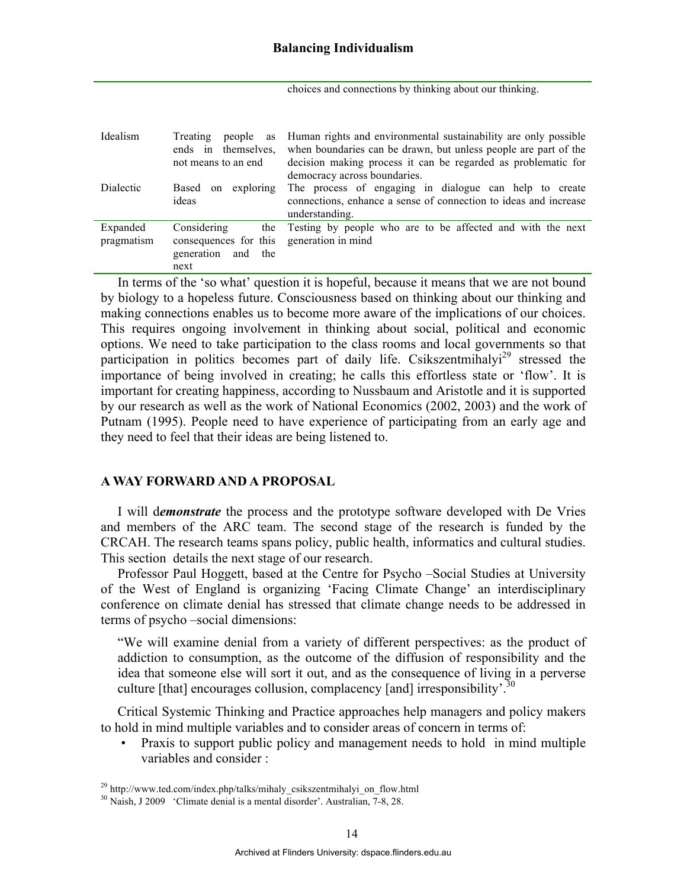choices and connections by thinking about our thinking.

| Idealism               | people as<br>Treating<br>ends in themselves.<br>not means to an end                          | Human rights and environmental sustainability are only possible<br>when boundaries can be drawn, but unless people are part of the<br>decision making process it can be regarded as problematic for<br>democracy across boundaries. |
|------------------------|----------------------------------------------------------------------------------------------|-------------------------------------------------------------------------------------------------------------------------------------------------------------------------------------------------------------------------------------|
| <b>Dialectic</b>       | exploring<br>Based<br>on<br>ideas                                                            | The process of engaging in dialogue can help to create<br>connections, enhance a sense of connection to ideas and increase<br>understanding.                                                                                        |
| Expanded<br>pragmatism | Considering<br>the<br>consequences for this generation in mind<br>generation and the<br>next | Testing by people who are to be affected and with the next                                                                                                                                                                          |

In terms of the 'so what' question it is hopeful, because it means that we are not bound by biology to a hopeless future. Consciousness based on thinking about our thinking and making connections enables us to become more aware of the implications of our choices. This requires ongoing involvement in thinking about social, political and economic options. We need to take participation to the class rooms and local governments so that participation in politics becomes part of daily life. Csikszentmihalyi<sup>29</sup> stressed the importance of being involved in creating; he calls this effortless state or 'flow'. It is important for creating happiness, according to Nussbaum and Aristotle and it is supported by our research as well as the work of National Economics (2002, 2003) and the work of Putnam (1995). People need to have experience of participating from an early age and they need to feel that their ideas are being listened to.

#### **A WAY FORWARD AND A PROPOSAL**

I will d*emonstrate* the process and the prototype software developed with De Vries and members of the ARC team. The second stage of the research is funded by the CRCAH. The research teams spans policy, public health, informatics and cultural studies. This section details the next stage of our research.

Professor Paul Hoggett, based at the Centre for Psycho –Social Studies at University of the West of England is organizing 'Facing Climate Change' an interdisciplinary conference on climate denial has stressed that climate change needs to be addressed in terms of psycho –social dimensions:

"We will examine denial from a variety of different perspectives: as the product of addiction to consumption, as the outcome of the diffusion of responsibility and the idea that someone else will sort it out, and as the consequence of living in a perverse culture [that] encourages collusion, complacency [and] irresponsibility<sup>'.30</sup>

Critical Systemic Thinking and Practice approaches help managers and policy makers to hold in mind multiple variables and to consider areas of concern in terms of:

• Praxis to support public policy and management needs to hold in mind multiple variables and consider :

 $^{29}$  http://www.ted.com/index.php/talks/mihaly\_csikszentmihalyi\_on\_flow.html

 $30$  Naish, J 2009 'Climate denial is a mental disorder'. Australian, 7-8, 28.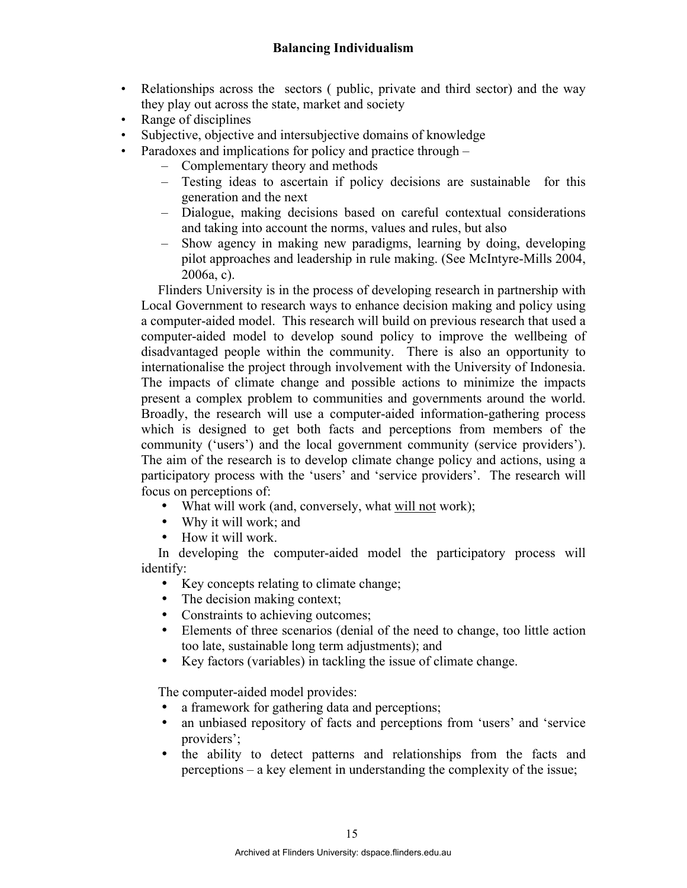- Relationships across the sectors ( public, private and third sector) and the way they play out across the state, market and society
- Range of disciplines
- Subjective, objective and intersubjective domains of knowledge
- Paradoxes and implications for policy and practice through
	- Complementary theory and methods
	- Testing ideas to ascertain if policy decisions are sustainable for this generation and the next
	- Dialogue, making decisions based on careful contextual considerations and taking into account the norms, values and rules, but also
	- Show agency in making new paradigms, learning by doing, developing pilot approaches and leadership in rule making. (See McIntyre-Mills 2004, 2006a, c).

Flinders University is in the process of developing research in partnership with Local Government to research ways to enhance decision making and policy using a computer-aided model. This research will build on previous research that used a computer-aided model to develop sound policy to improve the wellbeing of disadvantaged people within the community. There is also an opportunity to internationalise the project through involvement with the University of Indonesia. The impacts of climate change and possible actions to minimize the impacts present a complex problem to communities and governments around the world. Broadly, the research will use a computer-aided information-gathering process which is designed to get both facts and perceptions from members of the community ('users') and the local government community (service providers'). The aim of the research is to develop climate change policy and actions, using a participatory process with the 'users' and 'service providers'. The research will focus on perceptions of:

- What will work (and, conversely, what will not work);
- Why it will work; and
- How it will work.

In developing the computer-aided model the participatory process will identify:

- Key concepts relating to climate change;
- The decision making context;
- Constraints to achieving outcomes;
- Elements of three scenarios (denial of the need to change, too little action too late, sustainable long term adjustments); and
- Key factors (variables) in tackling the issue of climate change.

The computer-aided model provides:

- a framework for gathering data and perceptions;
- an unbiased repository of facts and perceptions from 'users' and 'service providers';
- the ability to detect patterns and relationships from the facts and perceptions – a key element in understanding the complexity of the issue;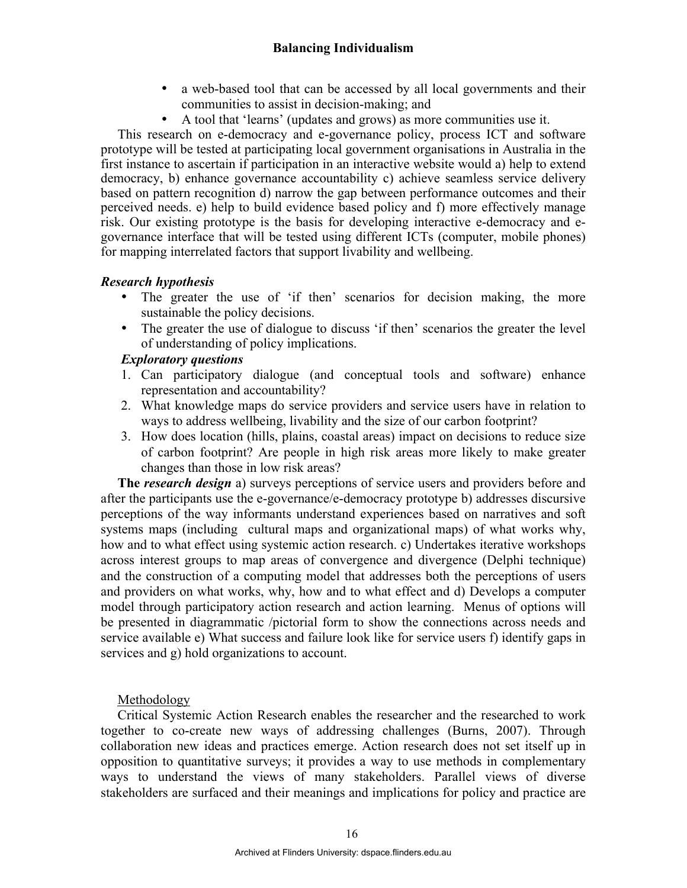- a web-based tool that can be accessed by all local governments and their communities to assist in decision-making; and
- A tool that 'learns' (updates and grows) as more communities use it.

This research on e-democracy and e-governance policy, process ICT and software prototype will be tested at participating local government organisations in Australia in the first instance to ascertain if participation in an interactive website would a) help to extend democracy, b) enhance governance accountability c) achieve seamless service delivery based on pattern recognition d) narrow the gap between performance outcomes and their perceived needs. e) help to build evidence based policy and f) more effectively manage risk. Our existing prototype is the basis for developing interactive e-democracy and egovernance interface that will be tested using different ICTs (computer, mobile phones) for mapping interrelated factors that support livability and wellbeing.

## *Research hypothesis*

- The greater the use of 'if then' scenarios for decision making, the more sustainable the policy decisions.
- The greater the use of dialogue to discuss 'if then' scenarios the greater the level of understanding of policy implications.

## *Exploratory questions*

- 1. Can participatory dialogue (and conceptual tools and software) enhance representation and accountability?
- 2. What knowledge maps do service providers and service users have in relation to ways to address wellbeing, livability and the size of our carbon footprint?
- 3. How does location (hills, plains, coastal areas) impact on decisions to reduce size of carbon footprint? Are people in high risk areas more likely to make greater changes than those in low risk areas?

**The** *research design* a) surveys perceptions of service users and providers before and after the participants use the e-governance/e-democracy prototype b) addresses discursive perceptions of the way informants understand experiences based on narratives and soft systems maps (including cultural maps and organizational maps) of what works why, how and to what effect using systemic action research. c) Undertakes iterative workshops across interest groups to map areas of convergence and divergence (Delphi technique) and the construction of a computing model that addresses both the perceptions of users and providers on what works, why, how and to what effect and d) Develops a computer model through participatory action research and action learning. Menus of options will be presented in diagrammatic /pictorial form to show the connections across needs and service available e) What success and failure look like for service users f) identify gaps in services and g) hold organizations to account.

## Methodology

Critical Systemic Action Research enables the researcher and the researched to work together to co-create new ways of addressing challenges (Burns, 2007). Through collaboration new ideas and practices emerge. Action research does not set itself up in opposition to quantitative surveys; it provides a way to use methods in complementary ways to understand the views of many stakeholders. Parallel views of diverse stakeholders are surfaced and their meanings and implications for policy and practice are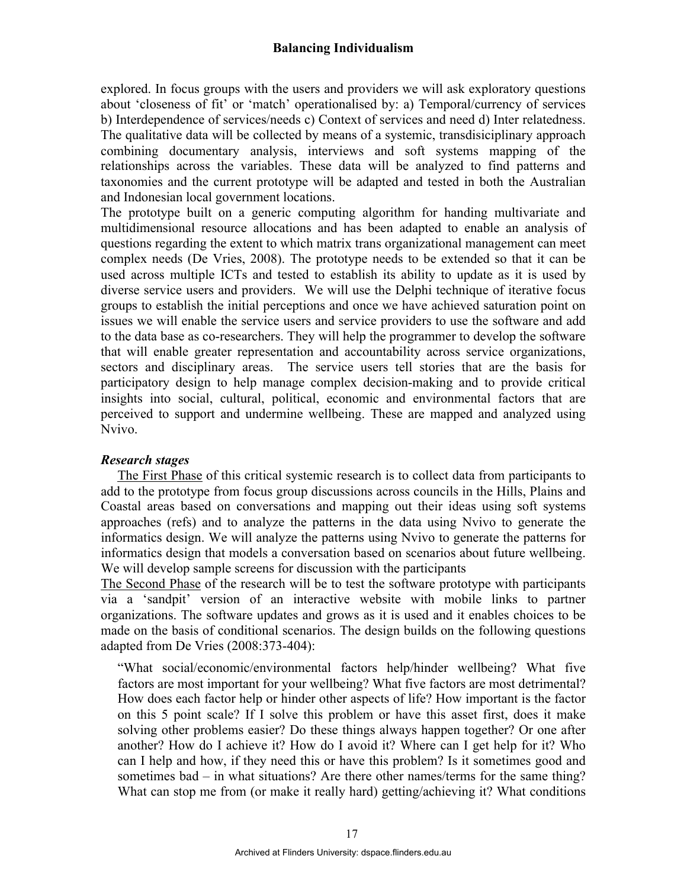explored. In focus groups with the users and providers we will ask exploratory questions about 'closeness of fit' or 'match' operationalised by: a) Temporal/currency of services b) Interdependence of services/needs c) Context of services and need d) Inter relatedness. The qualitative data will be collected by means of a systemic, transdisiciplinary approach combining documentary analysis, interviews and soft systems mapping of the relationships across the variables. These data will be analyzed to find patterns and taxonomies and the current prototype will be adapted and tested in both the Australian and Indonesian local government locations.

The prototype built on a generic computing algorithm for handing multivariate and multidimensional resource allocations and has been adapted to enable an analysis of questions regarding the extent to which matrix trans organizational management can meet complex needs (De Vries, 2008). The prototype needs to be extended so that it can be used across multiple ICTs and tested to establish its ability to update as it is used by diverse service users and providers. We will use the Delphi technique of iterative focus groups to establish the initial perceptions and once we have achieved saturation point on issues we will enable the service users and service providers to use the software and add to the data base as co-researchers. They will help the programmer to develop the software that will enable greater representation and accountability across service organizations, sectors and disciplinary areas. The service users tell stories that are the basis for participatory design to help manage complex decision-making and to provide critical insights into social, cultural, political, economic and environmental factors that are perceived to support and undermine wellbeing. These are mapped and analyzed using Nvivo.

# *Research stages*

The First Phase of this critical systemic research is to collect data from participants to add to the prototype from focus group discussions across councils in the Hills, Plains and Coastal areas based on conversations and mapping out their ideas using soft systems approaches (refs) and to analyze the patterns in the data using Nvivo to generate the informatics design. We will analyze the patterns using Nvivo to generate the patterns for informatics design that models a conversation based on scenarios about future wellbeing. We will develop sample screens for discussion with the participants

The Second Phase of the research will be to test the software prototype with participants via a 'sandpit' version of an interactive website with mobile links to partner organizations. The software updates and grows as it is used and it enables choices to be made on the basis of conditional scenarios. The design builds on the following questions adapted from De Vries (2008:373-404):

"What social/economic/environmental factors help/hinder wellbeing? What five factors are most important for your wellbeing? What five factors are most detrimental? How does each factor help or hinder other aspects of life? How important is the factor on this 5 point scale? If I solve this problem or have this asset first, does it make solving other problems easier? Do these things always happen together? Or one after another? How do I achieve it? How do I avoid it? Where can I get help for it? Who can I help and how, if they need this or have this problem? Is it sometimes good and sometimes bad – in what situations? Are there other names/terms for the same thing? What can stop me from (or make it really hard) getting/achieving it? What conditions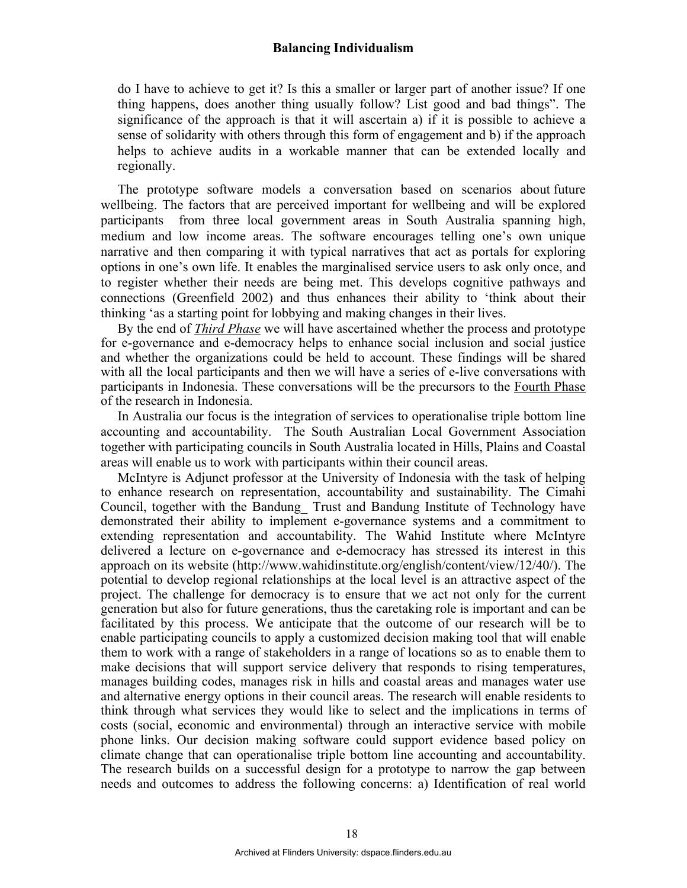do I have to achieve to get it? Is this a smaller or larger part of another issue? If one thing happens, does another thing usually follow? List good and bad things". The significance of the approach is that it will ascertain a) if it is possible to achieve a sense of solidarity with others through this form of engagement and b) if the approach helps to achieve audits in a workable manner that can be extended locally and regionally.

The prototype software models a conversation based on scenarios about future wellbeing. The factors that are perceived important for wellbeing and will be explored participants from three local government areas in South Australia spanning high, medium and low income areas. The software encourages telling one's own unique narrative and then comparing it with typical narratives that act as portals for exploring options in one's own life. It enables the marginalised service users to ask only once, and to register whether their needs are being met. This develops cognitive pathways and connections (Greenfield 2002) and thus enhances their ability to 'think about their thinking 'as a starting point for lobbying and making changes in their lives.

By the end of *Third Phase* we will have ascertained whether the process and prototype for e-governance and e-democracy helps to enhance social inclusion and social justice and whether the organizations could be held to account. These findings will be shared with all the local participants and then we will have a series of e-live conversations with participants in Indonesia. These conversations will be the precursors to the Fourth Phase of the research in Indonesia.

In Australia our focus is the integration of services to operationalise triple bottom line accounting and accountability. The South Australian Local Government Association together with participating councils in South Australia located in Hills, Plains and Coastal areas will enable us to work with participants within their council areas.

McIntyre is Adjunct professor at the University of Indonesia with the task of helping to enhance research on representation, accountability and sustainability. The Cimahi Council, together with the Bandung\_ Trust and Bandung Institute of Technology have demonstrated their ability to implement e-governance systems and a commitment to extending representation and accountability. The Wahid Institute where McIntyre delivered a lecture on e-governance and e-democracy has stressed its interest in this approach on its website (http://www.wahidinstitute.org/english/content/view/12/40/). The potential to develop regional relationships at the local level is an attractive aspect of the project. The challenge for democracy is to ensure that we act not only for the current generation but also for future generations, thus the caretaking role is important and can be facilitated by this process. We anticipate that the outcome of our research will be to enable participating councils to apply a customized decision making tool that will enable them to work with a range of stakeholders in a range of locations so as to enable them to make decisions that will support service delivery that responds to rising temperatures, manages building codes, manages risk in hills and coastal areas and manages water use and alternative energy options in their council areas. The research will enable residents to think through what services they would like to select and the implications in terms of costs (social, economic and environmental) through an interactive service with mobile phone links. Our decision making software could support evidence based policy on climate change that can operationalise triple bottom line accounting and accountability. The research builds on a successful design for a prototype to narrow the gap between needs and outcomes to address the following concerns: a) Identification of real world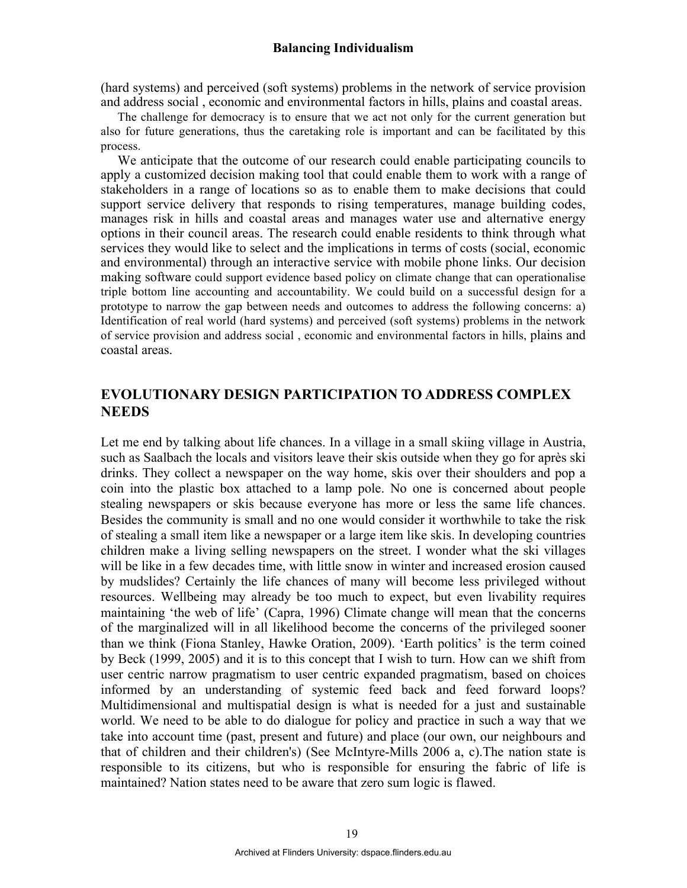(hard systems) and perceived (soft systems) problems in the network of service provision and address social , economic and environmental factors in hills, plains and coastal areas.

The challenge for democracy is to ensure that we act not only for the current generation but also for future generations, thus the caretaking role is important and can be facilitated by this process.

We anticipate that the outcome of our research could enable participating councils to apply a customized decision making tool that could enable them to work with a range of stakeholders in a range of locations so as to enable them to make decisions that could support service delivery that responds to rising temperatures, manage building codes, manages risk in hills and coastal areas and manages water use and alternative energy options in their council areas. The research could enable residents to think through what services they would like to select and the implications in terms of costs (social, economic and environmental) through an interactive service with mobile phone links. Our decision making software could support evidence based policy on climate change that can operationalise triple bottom line accounting and accountability. We could build on a successful design for a prototype to narrow the gap between needs and outcomes to address the following concerns: a) Identification of real world (hard systems) and perceived (soft systems) problems in the network of service provision and address social , economic and environmental factors in hills, plains and coastal areas.

# **EVOLUTIONARY DESIGN PARTICIPATION TO ADDRESS COMPLEX NEEDS**

Let me end by talking about life chances. In a village in a small skiing village in Austria, such as Saalbach the locals and visitors leave their skis outside when they go for après ski drinks. They collect a newspaper on the way home, skis over their shoulders and pop a coin into the plastic box attached to a lamp pole. No one is concerned about people stealing newspapers or skis because everyone has more or less the same life chances. Besides the community is small and no one would consider it worthwhile to take the risk of stealing a small item like a newspaper or a large item like skis. In developing countries children make a living selling newspapers on the street. I wonder what the ski villages will be like in a few decades time, with little snow in winter and increased erosion caused by mudslides? Certainly the life chances of many will become less privileged without resources. Wellbeing may already be too much to expect, but even livability requires maintaining 'the web of life' (Capra, 1996) Climate change will mean that the concerns of the marginalized will in all likelihood become the concerns of the privileged sooner than we think (Fiona Stanley, Hawke Oration, 2009). 'Earth politics' is the term coined by Beck (1999, 2005) and it is to this concept that I wish to turn. How can we shift from user centric narrow pragmatism to user centric expanded pragmatism, based on choices informed by an understanding of systemic feed back and feed forward loops? Multidimensional and multispatial design is what is needed for a just and sustainable world. We need to be able to do dialogue for policy and practice in such a way that we take into account time (past, present and future) and place (our own, our neighbours and that of children and their children's) (See McIntyre-Mills 2006 a, c).The nation state is responsible to its citizens, but who is responsible for ensuring the fabric of life is maintained? Nation states need to be aware that zero sum logic is flawed.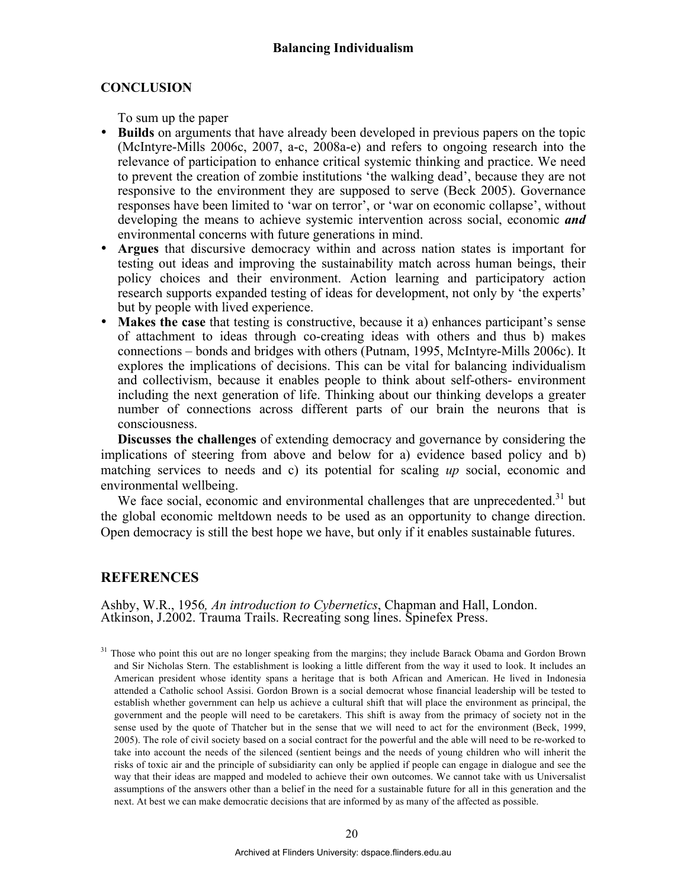## **CONCLUSION**

To sum up the paper

- **Builds** on arguments that have already been developed in previous papers on the topic (McIntyre-Mills 2006c, 2007, a-c, 2008a-e) and refers to ongoing research into the relevance of participation to enhance critical systemic thinking and practice. We need to prevent the creation of zombie institutions 'the walking dead', because they are not responsive to the environment they are supposed to serve (Beck 2005). Governance responses have been limited to 'war on terror', or 'war on economic collapse', without developing the means to achieve systemic intervention across social, economic *and* environmental concerns with future generations in mind.
- **Argues** that discursive democracy within and across nation states is important for testing out ideas and improving the sustainability match across human beings, their policy choices and their environment. Action learning and participatory action research supports expanded testing of ideas for development, not only by 'the experts' but by people with lived experience.
- **Makes the case** that testing is constructive, because it a) enhances participant's sense of attachment to ideas through co-creating ideas with others and thus b) makes connections – bonds and bridges with others (Putnam, 1995, McIntyre-Mills 2006c). It explores the implications of decisions. This can be vital for balancing individualism and collectivism, because it enables people to think about self-others- environment including the next generation of life. Thinking about our thinking develops a greater number of connections across different parts of our brain the neurons that is consciousness.

**Discusses the challenges** of extending democracy and governance by considering the implications of steering from above and below for a) evidence based policy and b) matching services to needs and c) its potential for scaling *up* social, economic and environmental wellbeing.

We face social, economic and environmental challenges that are unprecedented. $31$  but the global economic meltdown needs to be used as an opportunity to change direction. Open democracy is still the best hope we have, but only if it enables sustainable futures.

## **REFERENCES**

Ashby, W.R., 1956*, An introduction to Cybernetics*, Chapman and Hall, London. Atkinson, J.2002. Trauma Trails. Recreating song lines. Spinefex Press.

<sup>&</sup>lt;sup>31</sup> Those who point this out are no longer speaking from the margins; they include Barack Obama and Gordon Brown and Sir Nicholas Stern. The establishment is looking a little different from the way it used to look. It includes an American president whose identity spans a heritage that is both African and American. He lived in Indonesia attended a Catholic school Assisi. Gordon Brown is a social democrat whose financial leadership will be tested to establish whether government can help us achieve a cultural shift that will place the environment as principal, the government and the people will need to be caretakers. This shift is away from the primacy of society not in the sense used by the quote of Thatcher but in the sense that we will need to act for the environment (Beck, 1999, 2005). The role of civil society based on a social contract for the powerful and the able will need to be re-worked to take into account the needs of the silenced (sentient beings and the needs of young children who will inherit the risks of toxic air and the principle of subsidiarity can only be applied if people can engage in dialogue and see the way that their ideas are mapped and modeled to achieve their own outcomes. We cannot take with us Universalist assumptions of the answers other than a belief in the need for a sustainable future for all in this generation and the next. At best we can make democratic decisions that are informed by as many of the affected as possible.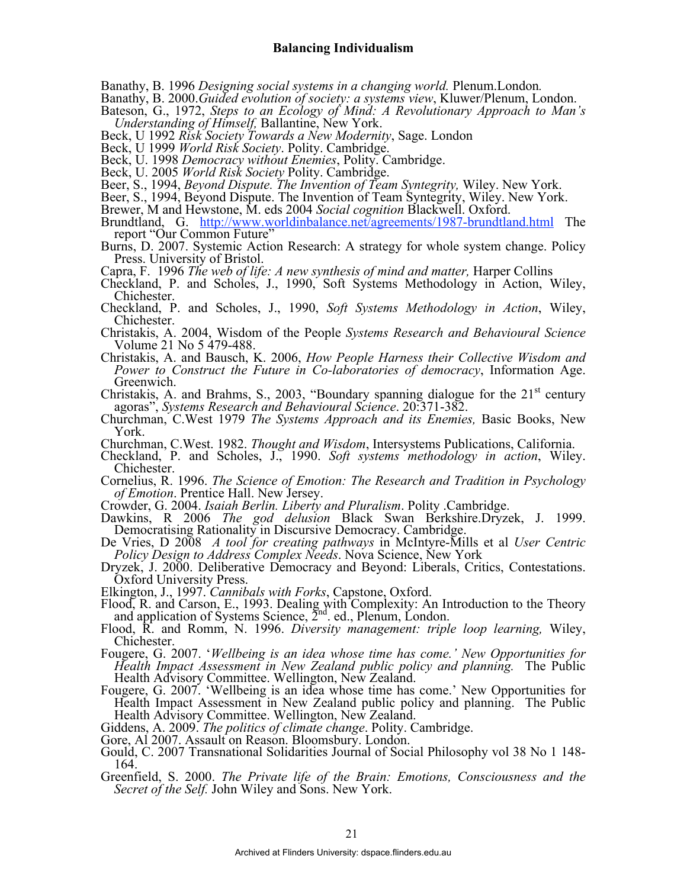- Banathy, B. 1996 *Designing social systems in a changing world*. Plenum.London.<br>Banathy, B. 2000.*Guided evolution of society: a systems view*, Kluwer/Plenum, London.
- Bateson, G., 1972, *Steps to an Ecology of Mind: A Revolutionary Approach to Man's Understanding of Himself,* Ballantine, New York.
- Beck, U 1992 *Risk Society Towards a New Modernity*, Sage. London
- Beck, U 1999 *World Risk Society*. Polity. Cambridge.
- Beck, U. 1998 *Democracy without Enemies*, Polity. Cambridge.
- Beck, U. 2005 *World Risk Society* Polity. Cambridge.
- Beer, S., 1994, *Beyond Dispute. The Invention of Team Syntegrity,* Wiley. New York.
- Beer, S., 1994, Beyond Dispute. The Invention of Team Syntegrity, Wiley. New York.
- Brewer, M and Hewstone, M. eds 2004 *Social cognition* Blackwell. Oxford.
- Brundtland, G. http://www.worldinbalance.net/agreements/1987-brundtland.html The report "Our Common Future"
- Burns, D. 2007. Systemic Action Research: A strategy for whole system change. Policy Press. University of Bristol.
- 
- Capra, F. 1996 *The web of life: A new synthesis of mind and matter,* Harper Collins Checkland, P. and Scholes, J., 1990, Soft Systems Methodology in Action, Wiley, Chichester.
- Checkland, P. and Scholes, J., 1990, *Soft Systems Methodology in Action*, Wiley, Chichester.
- Christakis, A. 2004, Wisdom of the People *Systems Research and Behavioural Science* Volume 21 No 5 479-488.
- Christakis, A. and Bausch, K. 2006, *How People Harness their Collective Wisdom and Power to Construct the Future in Co-laboratories of democracy*, Information Age. Greenwich.
- Christakis, A. and Brahms, S., 2003, "Boundary spanning dialogue for the  $21<sup>st</sup>$  century agoras", *Systems Research and Behavioural Science*. 20:371-382.
- Churchman, C.West 1979 *The Systems Approach and its Enemies,* Basic Books, New York.
- Churchman, C.West. 1982. *Thought and Wisdom*, Intersystems Publications, California.
- Checkland, P. and Scholes, J., 1990. *Soft systems methodology in action*, Wiley. Chichester.
- Cornelius, R. 1996. *The Science of Emotion: The Research and Tradition in Psychology*
- *Crowder, G. 2004. Isaiah Berlin. Liberty and Pluralism. Polity .Cambridge.*
- Dawkins, R 2006 *The god delusion* Black Swan Berkshire.Dryzek, J. 1999. Democratising Rationality in Discursive Democracy. Cambridge.
- De Vries, D 2008 *A tool for creating pathways* in McIntyre-Mills et al *User Centric Policy Design to Address Complex Needs*. Nova Science, New York
- Dryzek, J. 2000. Deliberative Democracy and Beyond: Liberals, Critics, Contestations. Oxford University Press.
- Elkington, J., 1997. *Cannibals with Forks*, Capstone, Oxford.
- Flood, R. and Carson, E., 1993. Dealing with Complexity: An Introduction to the Theory and application of Systems Science,  $2<sup>nd</sup>$ . ed., Plenum, London.
- Flood, R. and Romm, N. 1996. *Diversity management: triple loop learning,* Wiley, Chichester.
- Fougere, G. 2007. '*Wellbeing is an idea whose time has come.' New Opportunities for Health Impact Assessment in New Zealand public policy and planning.* The Public Health Advisory Committee. Wellington, New Zealand.
- Fougere, G. 2007. 'Wellbeing is an idea whose time has come.' New Opportunities for Health Impact Assessment in New Zealand public policy and planning. The Public Health Advisory Committee. Wellington, New Zealand. Giddens, A. 2009. *The politics of climate change*. Polity. Cambridge.

- Gore, Al 2007. Assault on Reason. Bloomsbury. London.
- Gould, C. 2007 Transnational Solidarities Journal of Social Philosophy vol 38 No 1 148- 164.
- Greenfield, S. 2000. *The Private life of the Brain: Emotions, Consciousness and the Secret of the Self.* John Wiley and Sons. New York.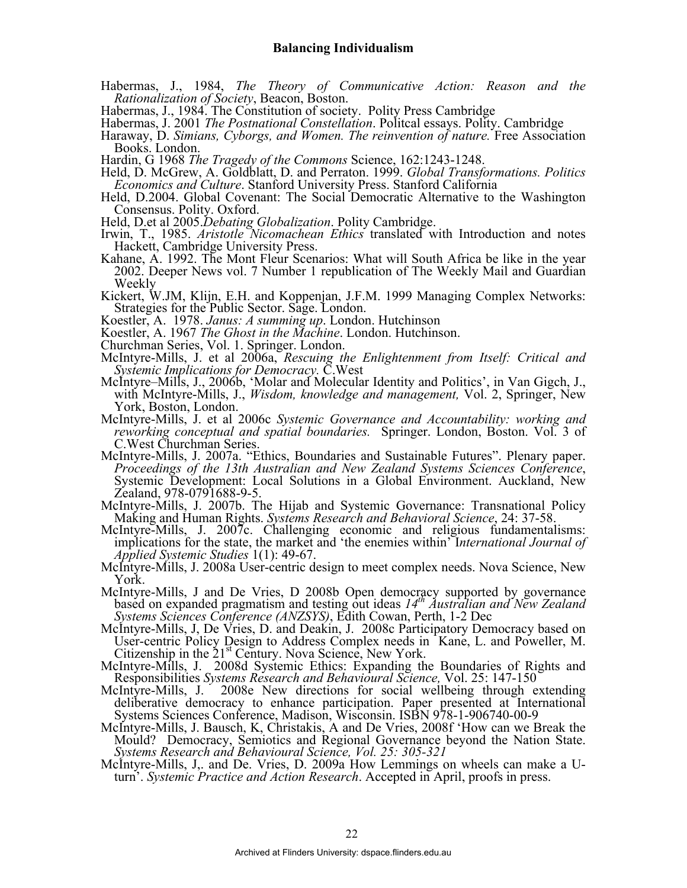- Habermas, J., 1984, *The Theory of Communicative Action: Reason and the Rationalization of Society*, Beacon, Boston.
- Habermas, J., 1984. The Constitution of society. Polity Press Cambridge
- Habermas, J. 2001 *The Postnational Constellation*. Politcal essays. Polity. Cambridge
- Haraway, D. *Simians, Cyborgs, and Women. The reinvention of nature.* Free Association Books. London.
- Hardin, G 1968 *The Tragedy of the Commons* Science, 162:1243-1248.
- Held, D. McGrew, A. Goldblatt, D. and Perraton. 1999. *Global Transformations. Politics Economics and Culture*. Stanford University Press. Stanford California
- Held, D.2004. Global Covenant: The Social Democratic Alternative to the Washington Consensus. Polity. Oxford.
- Held, D.et al 2005.*Debating Globalization*. Polity Cambridge.
- Irwin, T., 1985. *Aristotle Nicomachean Ethics* translated with Introduction and notes Hackett, Cambridge University Press.
- Kahane, A. 1992. The Mont Fleur Scenarios: What will South Africa be like in the year 2002. Deeper News vol. 7 Number 1 republication of The Weekly Mail and Guardian Weekly
- Kickert, W.JM, Klijn, E.H. and Koppenjan, J.F.M. 1999 Managing Complex Networks: Strategies for the Public Sector. Sage. London.
- Koestler, A. 1978. *Janus: A summing up*. London. Hutchinson
- Koestler, A. 1967 *The Ghost in the Machine*. London. Hutchinson.
- Churchman Series, Vol. 1. Springer. London.
- McIntyre-Mills, J. et al 2006a, *Rescuing the Enlightenment from Itself: Critical and Systemic Implications for Democracy.* C.West
- McIntyre–Mills, J., 2006b, 'Molar and Molecular Identity and Politics', in Van Gigch, J., with McIntyre-Mills, J., *Wisdom, knowledge and management,* Vol. 2, Springer, New York, Boston, London.
- McIntyre-Mills, J. et al 2006c *Systemic Governance and Accountability: working and reworking conceptual and spatial boundaries.* Springer. London, Boston. Vol. 3 of C.West Churchman Series.
- McIntyre-Mills, J. 2007a. "Ethics, Boundaries and Sustainable Futures". Plenary paper. *Proceedings of the 13th Australian and New Zealand Systems Sciences Conference*, Systemic Development: Local Solutions in a Global Environment. Auckland, New Systemic Development: Local Solutions in a Global Environment. Auckland, New Zealand. 978-0791688-9-5.
- McIntyre-Mills, J. 2007b. The Hijab and Systemic Governance: Transnational Policy Making and Human Rights. *Systems Research and Behavioral Science*, 24: 37-58.
- McIntyre-Mills, J. 2007c. Challenging economic and religious fundamentalisms: implications for the state, the market and 'the enemies within' I*nternational Journal of Applied Systemic Studies* 1(1): 49-67.
- McIntyre-Mills, J. 2008a User-centric design to meet complex needs. Nova Science, New York.
- McIntyre-Mills, J and De Vries, D 2008b Open democracy supported by governance based on expanded pragmatism and testing out ideas *14th Australian and New Zealand Systems Sciences Conference (ANZSYS)*, Edith Cowan, Perth, 1-2 Dec
- McIntyre-Mills, J, De Vries, D. and Deakin, J. 2008c Participatory Democracy based on User-centric Policy Design to Address Complex needs in Kane, L. and Poweller, M. Citizenship in the 21st Century. Nova Science, New York.
- McIntyre-Mills, J. 2008d Systemic Ethics: Expanding the Boundaries of Rights and Responsibilities *Systems Research and Behavioural Science,* Vol. 25: 147-150
- McIntyre-Mills, J. 2008e New directions for social wellbeing through extending deliberative democracy to enhance participation. Paper presented at International Systems Sciences Conference, Madison, Wisconsin. ISBN 978-1-906740-00-9 McIntyre-Mills, J. Bausch, K, Christakis, A and De Vries, 2008f 'How can we Break the
- Mould? Democracy, Semiotics and Regional Governance beyond the Nation State. *Systems Research and Behavioural Science, Vol. 25: 305-321*
- McIntyre-Mills, J,. and De. Vries, D. 2009a How Lemmings on wheels can make a Uturn'. *Systemic Practice and Action Research*. Accepted in April, proofs in press.